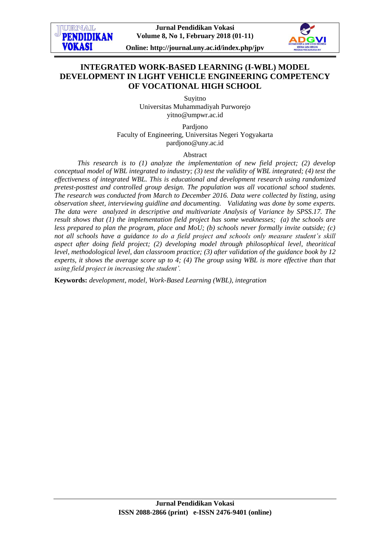

**Online: http://journal.uny.ac.id/index.php/jpv**

# **INTEGRATED WORK-BASED LEARNING (I-WBL) MODEL DEVELOPMENT IN LIGHT VEHICLE ENGINEERING COMPETENCY OF VOCATIONAL HIGH SCHOOL**

Suyitno Universitas Muhammadiyah Purworejo yitno@umpwr.ac.id

Pardjono Faculty of Engineering, Universitas Negeri Yogyakarta [pardjono@uny.ac.id](mailto:pardjono@uny.ac.id)

Abstract

*This research is to (1) analyze the implementation of new field project; (2) develop conceptual model of WBL integrated to industry; (3) test the validity of WBL integrated; (4) test the effectiveness of integrated WBL. This is educational and development research using randomized pretest-posttest and controlled group design. The population was all vocational school students. The research was conducted from March to December 2016. Data were collected by listing, using observation sheet, interviewing guidline and documenting. Validating was done by some experts. The data were analyzed in descriptive and multivariate Analysis of Variance by SPSS.17. The result shows that (1) the implementation field project has some weaknesses; (a) the schools are less prepared to plan the program, place and MoU; (b) schools never formally invite outside; (c) not all schools have a guidance to do a field project and schools only measure student's skill aspect after doing field project; (2) developing model through philosophical level, theoritical level, methodological level, dan classroom practice; (3) after validation of the guidance book by 12 experts, it shows the average score up to 4; (4) The group using WBL is more effective than that using field project in increasing the student'.*

**Keywords:** *development, model, Work-Based Learning (WBL), integration*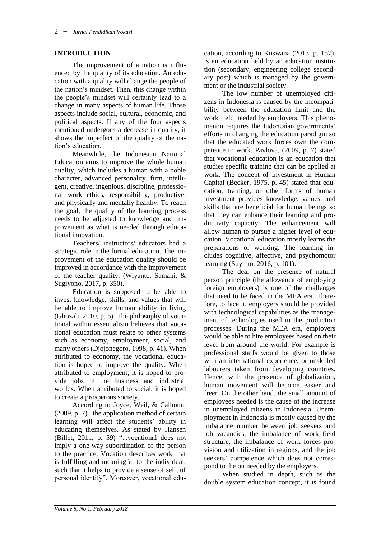#### **INTRODUCTION**

The improvement of a nation is influenced by the quality of its education. An education with a quality will change the people of the nation's mindset. Then, this change within the people's mindset will certainly lead to a change in many aspects of human life. Those aspects include social, cultural, economic, and political aspects. If any of the four aspects mentioned undergoes a decrease in quality, it shows the imperfect of the quality of the nation's education.

Meanwhile, the Indonesian National Education aims to improve the whole human quality, which includes a human with a noble character, advanced personality, firm, intelligent, creative, ingenious, discipline, professional work ethics, responsibility, productive, and physically and mentally healthy. To reach the goal, the quality of the learning process needs to be adjusted to knowledge and improvement as what is needed through educational innovation.

Teachers/ instructors/ educators had a strategic role in the formal education. The improvement of the education quality should be improved in accordance with the improvement of the teacher quality. (Wiyanto, Samani, & Sugiyono, 2017, p. 350).

Education is supposed to be able to invest knowledge, skills, and values that will be able to improve human ability in living (Ghozali, 2010, p. 5). The philosophy of vocational within essentialism believes that vocational education must relate to other systems such as economy, employment, social, and many others (Djojonegoro, 1998, p. 41). When attributed to economy, the vocational education is hoped to improve the quality. When attributed to employment, it is hoped to provide jobs in the business and industrial worlds. When attributed to social, it is hoped to create a prosperous society.

According to Joyce, Weil, & Calhoun, (2009, p. 7) , the application method of certain learning will affect the students' ability in educating themselves. As stated by Hansen (Billet, 2011, p. 59) "...vocational does not imply a one-way subordination of the person to the practice. Vocation describes work that is fulfilling and meaningful to the individual, such that it helps to provide a sense of self, of personal identify". Moreover, vocational education, according to Kuswana (2013, p. 157), is an education held by an education institution (secondary, engineering college secondary post) which is managed by the government or the industrial society.

The low number of unemployed citizens in Indonesia is caused by the incompatibility between the education limit and the work field needed by employers. This phenomenon requires the Indonesian governments' efforts in changing the education paradigm so that the educated work forces own the competence to work. Pavlova, (2009, p. 7) stated that vocational education is an education that studies specific training that can be applied at work. The concept of Investment in Human Capital (Becker, 1975, p. 45) stated that education, training, or other forms of human investment provides knowledge, values, and skills that are beneficial for human beings so that they can enhance their learning and productivity capacity. The enhancement will allow human to pursue a higher level of education. Vocational education mostly learns the preparations of working. The learning includes cognitive, affective, and psychomotor learning (Suyitno, 2016, p. 101).

The deal on the presence of natural person principle (the allowance of employing foreign employers) is one of the challenges that need to be faced in the MEA era. Therefore, to face it, employers should be provided with technological capabilities as the management of technologies used in the production processes. During the MEA era, employers would be able to hire employees based on their level from around the world. For example is professional staffs would be given to those with an international experience, or unskilled labourers taken from developing countries. Hence, with the presence of globalization, human movement will become easier and freer. On the other hand, the small amount of employees needed is the cause of the increase in unemployed citizens in Indonesia. Unemployment in Indonesia is mostly caused by the imbalance number between job seekers and job vacancies, the imbalance of work field structure, the imbalance of work forces provision and utilization in regions, and the job seekers' competence which does not correspond to the on needed by the employers.

When studied in depth, such as the double system education concept, it is found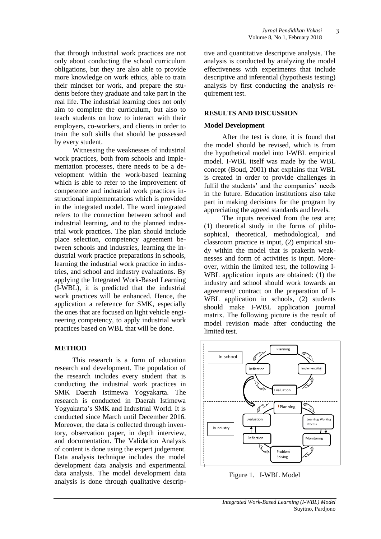that through industrial work practices are not only about conducting the school curriculum obligations, but they are also able to provide more knowledge on work ethics, able to train their mindset for work, and prepare the students before they graduate and take part in the real life. The industrial learning does not only aim to complete the curriculum, but also to teach students on how to interact with their employers, co-workers, and clients in order to train the soft skills that should be possessed by every student.

Witnessing the weaknesses of industrial work practices, both from schools and implementation processes, there needs to be a development within the work-based learning which is able to refer to the improvement of competence and industrial work practices instructional implementations which is provided in the integrated model. The word integrated refers to the connection between school and industrial learning, and to the planned industrial work practices. The plan should include place selection, competency agreement between schools and industries, learning the industrial work practice preparations in schools, learning the industrial work practice in industries, and school and industry evaluations. By applying the Integrated Work-Based Learning (I-WBL), it is predicted that the industrial work practices will be enhanced. Hence, the application a reference for SMK, especially the ones that are focused on light vehicle engineering competency, to apply industrial work practices based on WBL that will be done.

#### **METHOD**

This research is a form of education research and development. The population of the research includes every student that is conducting the industrial work practices in SMK Daerah Istimewa Yogyakarta. The research is conducted in Daerah Istimewa Yogyakarta's SMK and Industrial World. It is conducted since March until December 2016. Moreover, the data is collected through inventory, observation paper, in depth interview, and documentation. The Validation Analysis of content is done using the expert judgement. Data analysis technique includes the model development data analysis and experimental data analysis. The model development data analysis is done through qualitative descriptive and quantitative descriptive analysis. The analysis is conducted by analyzing the model effectiveness with experiments that include descriptive and inferential (hypothesis testing) analysis by first conducting the analysis requirement test.

#### **RESULTS AND DISCUSSION**

#### **Model Development**

After the test is done, it is found that the model should be revised, which is from the hypothetical model into I-WBL empirical model. I-WBL itself was made by the WBL concept (Boud, 2001) that explains that WBL is created in order to provide challenges in fulfil the students' and the companies' needs in the future. Education institutions also take part in making decisions for the program by appreciating the agreed standards and levels.

The inputs received from the test are: (1) theoretical study in the forms of philosophical, theoretical, methodological, and classroom practice is input, (2) empirical study within the model that is prakerin weaknesses and form of activities is input. Moreover, within the limited test, the following I-WBL application inputs are obtained: (1) the industry and school should work towards an agreement/ contract on the preparation of I-WBL application in schools, (2) students should make I-WBL application journal matrix. The following picture is the result of model revision made after conducting the limited test.



Figure 1. I-WBL Model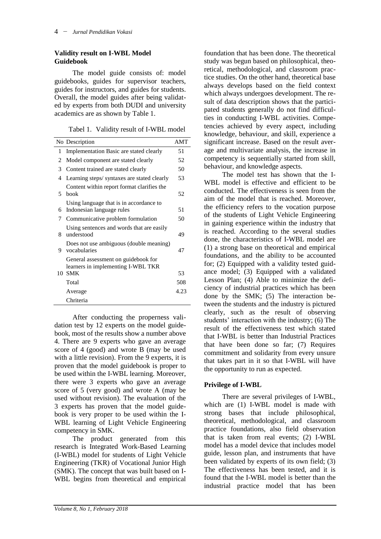#### **Validity result on I-WBL Model Guidebook**

The model guide consists of: model guidebooks, guides for supervisor teachers, guides for instructors, and guides for students. Overall, the model guides after being validated by experts from both DUDI and university academics are as shown by Table 1.

Tabel 1. Validity result of I-WBL model

|    | No Description                                                            | AMT  |
|----|---------------------------------------------------------------------------|------|
| 1  | Implementation Basic are stated clearly                                   | 51   |
| 2  | Model component are stated clearly                                        | 52   |
| 3  | Content trained are stated clearly                                        | 50   |
| 4  | Learning steps/ syntaxes are stated clearly                               | 53   |
| 5. | Content within report format clarifies the<br>book                        | 52   |
| 6  | Using language that is in accordance to<br>Indonesian language rules      | 51   |
| 7  | Communicative problem formulation                                         | 50   |
| 8  | Using sentences and words that are easily<br>understood                   | 49   |
| 9  | Does not use ambiguous (double meaning)<br>vocabularies                   | 47   |
|    | General assessment on guidebook for<br>learners in implementing I-WBL TKR |      |
| 10 | <b>SMK</b>                                                                | 53   |
|    | Total                                                                     | 508  |
|    | Average                                                                   | 4.23 |
|    | Chriteria                                                                 |      |

After conducting the properness validation test by 12 experts on the model guidebook, most of the results show a number above 4. There are 9 experts who gave an average score of 4 (good) and wrote B (may be used with a little revision). From the 9 experts, it is proven that the model guidebook is proper to be used within the I-WBL learning. Moreover, there were 3 experts who gave an average score of 5 (very good) and wrote A (may be used without revision). The evaluation of the 3 experts has proven that the model guidebook is very proper to be used within the I-WBL learning of Light Vehicle Engineering competency in SMK.

The product generated from this research is Integrated Work-Based Learning (I-WBL) model for students of Light Vehicle Engineering (TKR) of Vocational Junior High (SMK). The concept that was built based on I-WBL begins from theoretical and empirical

foundation that has been done. The theoretical study was begun based on philosophical, theoretical, methodological, and classroom practice studies. On the other hand, theoretical base always develops based on the field context which always undergoes development. The result of data description shows that the participated students generally do not find difficulties in conducting I-WBL activities. Competencies achieved by every aspect, including knowledge, behaviour, and skill, experience a significant increase. Based on the result average and multivariate analysis, the increase in competency is sequentially started from skill, behaviour, and knowledge aspects.

The model test has shown that the I-WBL model is effective and efficient to be conducted. The effectiveness is seen from the aim of the model that is reached. Moreover, the efficiency refers to the vocation purpose of the students of Light Vehicle Engineering in gaining experience within the industry that is reached. According to the several studies done, the characteristics of I-WBL model are (1) a strong base on theoretical and empirical foundations, and the ability to be accounted for; (2) Equipped with a validity tested guidance model; (3) Equipped with a validated Lesson Plan; (4) Able to minimize the deficiency of industrial practices which has been done by the SMK; (5) The interaction between the students and the industry is pictured clearly, such as the result of observing students' interaction with the industry; (6) The result of the effectiveness test which stated that I-WBL is better than Industrial Practices that have been done so far; (7) Requires commitment and solidarity from every unsure that takes part in it so that I-WBL will have the opportunity to run as expected.

## **Privilege of I-WBL**

There are several privileges of I-WBL, which are (1) I-WBL model is made with strong bases that include philosophical, theoretical, methodological, and classroom practice foundations, also field observation that is taken from real events; (2) I-WBL model has a model device that includes model guide, lesson plan, and instruments that have been validated by experts of its own field; (3) The effectiveness has been tested, and it is found that the I-WBL model is better than the industrial practice model that has been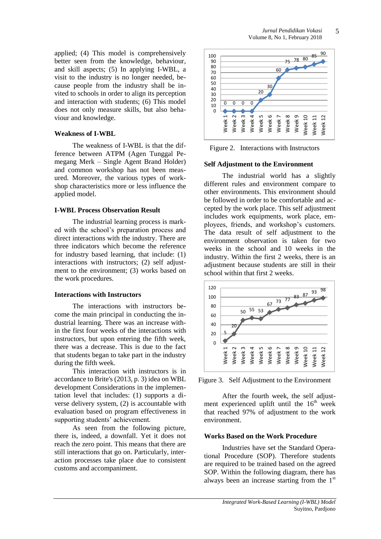applied; (4) This model is comprehensively better seen from the knowledge, behaviour, and skill aspects; (5) In applying I-WBL, a visit to the industry is no longer needed, because people from the industry shall be invited to schools in order to align its perception and interaction with students; (6) This model does not only measure skills, but also behaviour and knowledge.

#### **Weakness of I-WBL**

The weakness of I-WBL is that the difference between ATPM (Agen Tunggal Pemegang Merk – Single Agent Brand Holder) and common workshop has not been measured. Moreover, the various types of workshop characteristics more or less influence the applied model.

#### **I-WBL Process Observation Result**

The industrial learning process is marked with the school's preparation process and direct interactions with the industry. There are three indicators which become the reference for industry based learning, that include: (1) interactions with instructors; (2) self adjustment to the environment; (3) works based on the work procedures.

#### **Interactions with Instructors**

The interactions with instructors become the main principal in conducting the industrial learning. There was an increase within the first four weeks of the interactions with instructors, but upon entering the fifth week, there was a decrease. This is due to the fact that students began to take part in the industry during the fifth week.

This interaction with instructors is in accordance to Brite's (2013, p. 3) idea on WBL development Considerations in the implementation level that includes: (1) supports a diverse delivery system, (2) is accountable with evaluation based on program effectiveness in supporting students' achievement.

As seen from the following picture, there is, indeed, a downfall. Yet it does not reach the zero point. This means that there are still interactions that go on. Particularly, interaction processes take place due to consistent customs and accompaniment.



Figure 2. Interactions with Instructors

#### **Self Adjustment to the Environment**

The industrial world has a slightly different rules and environment compare to other environments. This environment should be followed in order to be comfortable and accepted by the work place. This self adjustment includes work equipments, work place, employees, friends, and workshop's customers. The data result of self adjustment to the environment observation is taken for two weeks in the school and 10 weeks in the industry. Within the first 2 weeks, there is an adjustment because students are still in their school within that first 2 weeks.



Figure 3. Self Adjustment to the Environment

After the fourth week, the self adjustment experienced uplift until the  $16<sup>th</sup>$  week that reached 97% of adjustment to the work environment.

#### **Works Based on the Work Procedure**

Industries have set the Standard Operational Procedure (SOP). Therefore students are required to be trained based on the agreed SOP. Within the following diagram, there has always been an increase starting from the 1st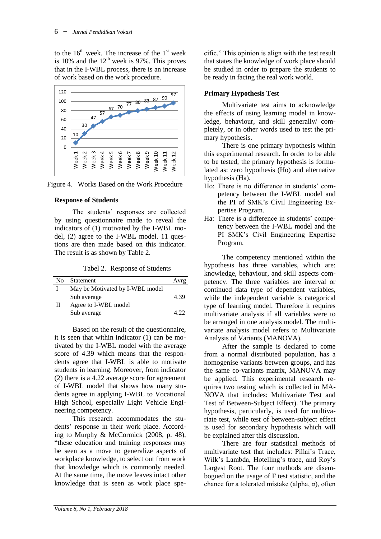to the  $16<sup>th</sup>$  week. The increase of the  $1<sup>st</sup>$  week is 10% and the  $12<sup>th</sup>$  week is 97%. This proves that in the I-WBL process, there is an increase of work based on the work procedure.



Figure 4. Works Based on the Work Procedure

## **Response of Students**

The students' responses are collected by using questionnaire made to reveal the indicators of (1) motivated by the I-WBL model, (2) agree to the I-WBL model. 11 questions are then made based on this indicator. The result is as shown by Table 2.

Tabel 2. Response of Students

| Nο | Statement                       | Avrg |
|----|---------------------------------|------|
|    | May be Motivated by I-WBL model |      |
|    | Sub average                     | 4.39 |
| Н  | Agree to I-WBL model            |      |
|    | Sub average                     | A 77 |

Based on the result of the questionnaire, it is seen that within indicator (1) can be motivated by the I-WBL model with the average score of 4.39 which means that the respondents agree that I-WBL is able to motivate students in learning. Moreover, from indicator (2) there is a 4.22 average score for agreement of I-WBL model that shows how many students agree in applying I-WBL to Vocational High School, especially Light Vehicle Engineering competency.

This research accommodates the students' response in their work place. According to Murphy & McCormick (2008, p. 48), "these education and training responses may be seen as a move to generalize aspects of workplace knowledge, to select out from work that knowledge which is commonly needed. At the same time, the move leaves intact other knowledge that is seen as work place specific." This opinion is align with the test result that states the knowledge of work place should be studied in order to prepare the students to be ready in facing the real work world.

## **Primary Hypothesis Test**

Multivariate test aims to acknowledge the effects of using learning model in knowledge, behaviour, and skill generally/ completely, or in other words used to test the primary hypothesis.

There is one primary hypothesis within this experimental research. In order to be able to be tested, the primary hypothesis is formulated as: zero hypothesis (Ho) and alternative hypothesis (Ha).

- Ho: There is no difference in students' competency between the I-WBL model and the PI of SMK's Civil Engineering Expertise Program.
- Ha: There is a difference in students' competency between the I-WBL model and the PI SMK's Civil Engineering Expertise Program.

The competency mentioned within the hypothesis has three variables, which are: knowledge, behaviour, and skill aspects competency. The three variables are interval or continued data type of dependent variables, while the independent variable is categorical type of learning model. Therefore it requires multivariate analysis if all variables were to be arranged in one analysis model. The multivariate analysis model refers to Multivariate Analysis of Variants (MANOVA).

After the sample is declared to come from a normal distributed population, has a homogenise variants between groups, and has the same co-variants matrix, MANOVA may be applied. This experimental research requires two testing which is collected in MA-NOVA that includes: Multivariate Test and Test of Between-Subject Effect). The primary hypothesis, particularly, is used for multivariate test, while test of between-subject effect is used for secondary hypothesis which will be explained after this discussion.

There are four statistical methods of multivariate test that includes: Pillai's Trace, Wilk's Lambda, Hotelling's trace, and Roy's Largest Root. The four methods are disembogued on the usage of F test statistic, and the chance for a tolerated mistake (alpha,  $\alpha$ ), often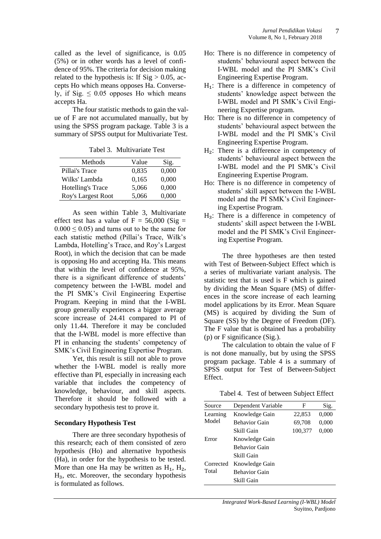called as the level of significance, is 0.05 (5%) or in other words has a level of confidence of 95%. The criteria for decision making related to the hypothesis is: If  $Sig > 0.05$ , accepts Ho which means opposes Ha. Conversely, if Sig.  $\leq 0.05$  opposes Ho which means accepts Ha.

The four statistic methods to gain the value of F are not accumulated manually, but by using the SPSS program package. Table 3 is a summary of SPSS output for Multivariate Test.

| Methods                  | Value | Sig.  |
|--------------------------|-------|-------|
| Pillai's Trace           | 0,835 | 0,000 |
| Wilks' Lambda            | 0.165 | 0.000 |
| <b>Hotelling's Trace</b> | 5,066 | 0,000 |
| Roy's Largest Root       | 5,066 | 0.000 |

Tabel 3. Multivariate Test

As seen within Table 3, Multivariate effect test has a value of  $F = 56,000$  (Sig =  $0.000 \le 0.05$ ) and turns out to be the same for each statistic method (Pillai's Trace, Wilk's Lambda, Hotelling's Trace, and Roy's Largest Root), in which the decision that can be made is opposing Ho and accepting Ha. This means that within the level of confidence at 95%, there is a significant difference of students' competency between the I-WBL model and the PI SMK's Civil Engineering Expertise Program. Keeping in mind that the I-WBL group generally experiences a bigger average score increase of 24.41 compared to PI of only 11.44. Therefore it may be concluded that the I-WBL model is more effective than PI in enhancing the students' competency of SMK's Civil Engineering Expertise Program.

Yet, this result is still not able to prove whether the I-WBL model is really more effective than PI, especially in increasing each variable that includes the competency of knowledge, behaviour, and skill aspects. Therefore it should be followed with a secondary hypothesis test to prove it.

#### **Secondary Hypothesis Test**

There are three secondary hypothesis of this research; each of them consisted of zero hypothesis (Ho) and alternative hypothesis (Ha), in order for the hypothesis to be tested. More than one Ha may be written as  $H_1$ ,  $H_2$ , H<sub>3</sub>, etc. Moreover, the secondary hypothesis is formulated as follows.

- Ho: There is no difference in competency of students' behavioural aspect between the I-WBL model and the PI SMK's Civil Engineering Expertise Program.
- $H_1$ : There is a difference in competency of students' knowledge aspect between the I-WBL model and PI SMK's Civil Engineering Expertise program.
- Ho: There is no difference in competency of students' behavioural aspect between the I-WBL model and the PI SMK's Civil Engineering Expertise Program.
- $H_2$ : There is a difference in competency of students' behavioural aspect between the I-WBL model and the PI SMK's Civil Engineering Expertise Program.
- Ho: There is no difference in competency of students' skill aspect between the I-WBL model and the PI SMK's Civil Engineering Expertise Program.
- $H_3$ : There is a difference in competency of students' skill aspect between the I-WBL model and the PI SMK's Civil Engineering Expertise Program.

The three hypotheses are then tested with Test of Between-Subject Effect which is a series of multivariate variant analysis. The statistic test that is used is F which is gained by dividing the Mean Square (MS) of differences in the score increase of each learning model applications by its Error. Mean Square (MS) is acquired by dividing the Sum of Square (SS) by the Degree of Freedom (DF). The F value that is obtained has a probability (p) or F significance (Sig.).

The calculation to obtain the value of F is not done manually, but by using the SPSS program package. Table 4 is a summary of SPSS output for Test of Between-Subject Effect.

Tabel 4. Test of between Subject Effect

| Source    | Dependent Variable   | F       | Sig.  |
|-----------|----------------------|---------|-------|
| Learning  | Knowledge Gain       | 22,853  | 0,000 |
| Model     | <b>Behavior Gain</b> | 69,708  | 0,000 |
|           | Skill Gain           | 100,377 | 0,000 |
| Error     | Knowledge Gain       |         |       |
|           | <b>Behavior Gain</b> |         |       |
|           | Skill Gain           |         |       |
| Corrected | Knowledge Gain       |         |       |
| Total     | <b>Behavior Gain</b> |         |       |
|           | Skill Gain           |         |       |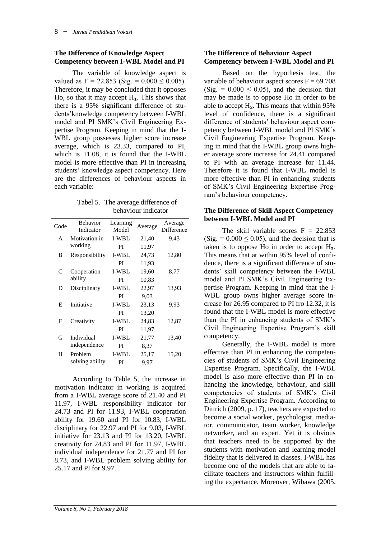### **The Difference of Knowledge Aspect Competency between I-WBL Model and PI**

The variable of knowledge aspect is valued as  $F = 22.853$  (Sig. =  $0.000 \le 0.005$ ). Therefore, it may be concluded that it opposes Ho, so that it may accept  $H_1$ . This shows that there is a 95% significant difference of students'knowledge competency between I-WBL model and PI SMK's Civil Engineering Expertise Program. Keeping in mind that the I-WBL group possesses higher score increase average, which is 23.33, compared to PI, which is 11.08, it is found that the I-WBL model is more effective than PI in increasing students' knowledge aspect competency. Here are the differences of behaviour aspects in each variable:

Tabel 5. The average difference of behaviour indicator

| Code         | <b>Behavior</b><br>Indicator | Learning<br>Model | Average | Average<br>Difference |
|--------------|------------------------------|-------------------|---------|-----------------------|
| $\mathsf{A}$ | Motivation in                | <b>I-WBL</b>      | 21,40   | 9.43                  |
|              | working                      | PI                | 11,97   |                       |
| B            | Responsibility               | <b>I-WBL</b>      | 24,73   | 12,80                 |
|              |                              | PI                | 11,93   |                       |
| C            | Cooperation                  | <b>I-WBL</b>      | 19,60   | 8,77                  |
|              | ability                      | PI                | 10,83   |                       |
| D            | Disciplinary                 | <b>I-WBL</b>      | 22,97   | 13.93                 |
|              |                              | PI                | 9,03    |                       |
| E            | Initiative                   | <b>I-WBL</b>      | 23,13   | 9.93                  |
|              |                              | PI                | 13,20   |                       |
| F            | Creativity                   | <b>I-WBL</b>      | 24,83   | 12,87                 |
|              |                              | PI                | 11,97   |                       |
| G            | Individual                   | <b>I-WBL</b>      | 21,77   | 13,40                 |
|              | independence                 | PI                | 8,37    |                       |
| H            | Problem                      | <b>I-WBL</b>      | 25,17   | 15,20                 |
|              | solving ability              | PI                | 9.97    |                       |

According to Table 5, the increase in motivation indicator in working is acquired from a I-WBL average score of 21.40 and PI 11.97, I-WBL responsibility indicator for 24.73 and PI for 11.93, I-WBL cooperation ability for 19.60 and PI for 10.83, I-WBL disciplinary for 22.97 and PI for 9.03, I-WBL initiative for 23.13 and PI for 13.20, I-WBL creativity for 24.83 and PI for 11.97, I-WBL individual independence for 21.77 and PI for 8.73, and I-WBL problem solving ability for 25.17 and PI for 9.97.

#### **The Difference of Behaviour Aspect Competency between I-WBL Model and PI**

Based on the hypothesis test, the variable of behaviour aspect scores  $F = 69.708$  $(Sig. = 0.000 \le 0.05)$ , and the decision that may be made is to oppose Ho in order to be able to accept  $H_2$ . This means that within 95% level of confidence, there is a significant difference of students' behaviour aspect competency between I-WBL model and PI SMK's Civil Engineering Expertise Program. Keeping in mind that the I-WBL group owns higher average score increase for 24.41 compared to PI with an average increase for 11.44. Therefore it is found that I-WBL model is more effective than PI in enhancing students of SMK's Civil Engineering Expertise Program's behaviour competency.

#### **The Difference of Skill Aspect Competency between I-WBL Model and PI**

The skill variable scores  $F = 22.853$  $(Sig. = 0.000 \le 0.05)$ , and the decision that is taken is to oppose Ho in order to accept  $H_3$ . This means that at within 95% level of confidence, there is a significant difference of students' skill competency between the I-WBL model and PI SMK's Civil Engineering Expertise Program. Keeping in mind that the I-WBL group owns higher average score increase for 26.95 compared to PI fro 12.32, it is found that the I-WBL model is more effective than the PI in enhancing students of SMK's Civil Engineering Expertise Program's skill competency.

Generally, the I-WBL model is more effective than PI in enhancing the competencies of students of SMK's Civil Engineering Expertise Program. Specifically, the I-WBL model is also more effective than PI in enhancing the knowledge, behaviour, and skill competencies of students of SMK's Civil Engineering Expertise Program. According to Dittrich (2009, p. 17), teachers are expected to become a social worker, psychologist, mediator, communicator, team worker, knowledge networker, and an expert. Yet it is obvious that teachers need to be supported by the students with motivation and learning model fidelity that is delivered in classes. I-WBL has become one of the models that are able to facilitate teachers and instructors within fulfilling the expectance. Moreover, Wibawa (2005,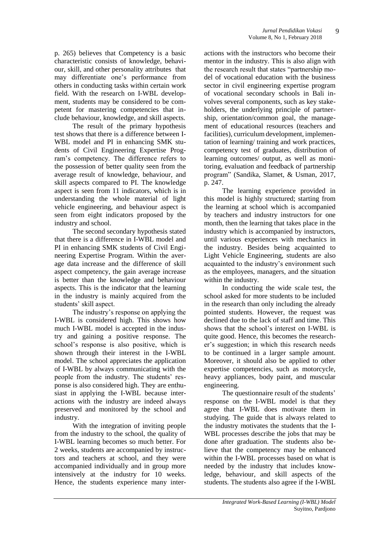p. 265) believes that Competency is a basic characteristic consists of knowledge, behaviour, skill, and other personality attributes that may differentiate one's performance from others in conducting tasks within certain work field. With the research on I-WBL development, students may be considered to be competent for mastering competencies that include behaviour, knowledge, and skill aspects.

The result of the primary hypothesis test shows that there is a difference between I-WBL model and PI in enhancing SMK students of Civil Engineering Expertise Program's competency. The difference refers to the possession of better quality seen from the average result of knowledge, behaviour, and skill aspects compared to PI. The knowledge aspect is seen from 11 indicators, which is in understanding the whole material of light vehicle engineering, and behaviour aspect is seen from eight indicators proposed by the industry and school.

The second secondary hypothesis stated that there is a difference in I-WBL model and PI in enhancing SMK students of Civil Engineering Expertise Program. Within the average data increase and the difference of skill aspect competency, the gain average increase is better than the knowledge and behaviour aspects. This is the indicator that the learning in the industry is mainly acquired from the students' skill aspect.

The industry's response on applying the I-WBL is considered high. This shows how much I-WBL model is accepted in the industry and gaining a positive response. The school's response is also positive, which is shown through their interest in the I-WBL model. The school appreciates the application of I-WBL by always communicating with the people from the industry. The students' response is also considered high. They are enthusiast in applying the I-WBL because interactions with the industry are indeed always preserved and monitored by the school and industry.

With the integration of inviting people from the industry to the school, the quality of I-WBL learning becomes so much better. For 2 weeks, students are accompanied by instructors and teachers at school, and they were accompanied individually and in group more intensively at the industry for 10 weeks. Hence, the students experience many inter-

actions with the instructors who become their mentor in the industry. This is also align with the research result that states "partnership model of vocational education with the business sector in civil engineering expertise program of vocational secondary schools in Bali involves several components, such as key stakeholders, the underlying principle of partnership, orientation/common goal, the management of educational resources (teachers and facilities), curriculum development, implementation of learning/ training and work practices, competency test of graduates, distribution of learning outcomes/ output, as well as monitoring, evaluation and feedback of partnership program" (Sandika, Slamet, & Usman, 2017, p. 247.

The learning experience provided in this model is highly structured; starting from the learning at school which is accompanied by teachers and industry instructors for one month, then the learning that takes place in the industry which is accompanied by instructors, until various experiences with mechanics in the industry. Besides being acquainted to Light Vehicle Engineering, students are also acquainted to the industry's environment such as the employees, managers, and the situation within the industry.

In conducting the wide scale test, the school asked for more students to be included in the research than only including the already pointed students. However, the request was declined due to the lack of staff and time. This shows that the school's interest on I-WBL is quite good. Hence, this becomes the researcher's suggestion; in which this research needs to be continued in a larger sample amount. Moreover, it should also be applied to other expertise competencies, such as motorcycle, heavy appliances, body paint, and muscular engineering.

The questionnaire result of the students' response on the I-WBL model is that they agree that I-WBL does motivate them in studying. The guide that is always related to the industry motivates the students that the I-WBL processes describe the jobs that may be done after graduation. The students also believe that the competency may be enhanced within the I-WBL processes based on what is needed by the industry that includes knowledge, behaviour, and skill aspects of the students. The students also agree if the I-WBL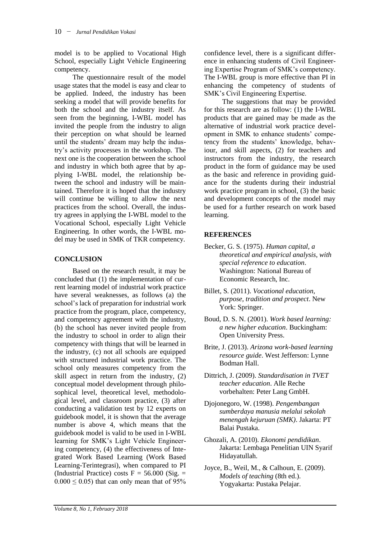model is to be applied to Vocational High School, especially Light Vehicle Engineering competency.

The questionnaire result of the model usage states that the model is easy and clear to be applied. Indeed, the industry has been seeking a model that will provide benefits for both the school and the industry itself. As seen from the beginning, I-WBL model has invited the people from the industry to align their perception on what should be learned until the students' dream may help the industry's activity processes in the workshop. The next one is the cooperation between the school and industry in which both agree that by applying I-WBL model, the relationship between the school and industry will be maintained. Therefore it is hoped that the industry will continue be willing to allow the next practices from the school. Overall, the industry agrees in applying the I-WBL model to the Vocational School, especially Light Vehicle Engineering. In other words, the I-WBL model may be used in SMK of TKR competency.

## **CONCLUSION**

Based on the research result, it may be concluded that (1) the implementation of current learning model of industrial work practice have several weaknesses, as follows (a) the school's lack of preparation for industrial work practice from the program, place, competency, and competency agreement with the industry, (b) the school has never invited people from the industry to school in order to align their competency with things that will be learned in the industry, (c) not all schools are equipped with structured industrial work practice. The school only measures competency from the skill aspect in return from the industry, (2) conceptual model development through philosophical level, theoretical level, methodological level, and classroom practice, (3) after conducting a validation test by 12 experts on guidebook model, it is shown that the average number is above 4, which means that the guidebook model is valid to be used in I-WBL learning for SMK's Light Vehicle Engineering competency, (4) the effectiveness of Integrated Work Based Learning (Work Based Learning-Terintegrasi), when compared to PI (Industrial Practice) costs  $F = 56.000$  (Sig. =  $0.000 \le 0.05$ ) that can only mean that of 95%

confidence level, there is a significant difference in enhancing students of Civil Engineering Expertise Program of SMK's competency. The I-WBL group is more effective than PI in enhancing the competency of students of SMK's Civil Engineering Expertise.

The suggestions that may be provided for this research are as follow: (1) the I-WBL products that are gained may be made as the alternative of industrial work practice development in SMK to enhance students' competency from the students' knowledge, behaviour, and skill aspects, (2) for teachers and instructors from the industry, the research product in the form of guidance may be used as the basic and reference in providing guidance for the students during their industrial work practice program in school, (3) the basic and development concepts of the model may be used for a further research on work based learning.

## **REFERENCES**

- Becker, G. S. (1975). *Human capital, a theoretical and empirical analysis, with special reference to education*. Washington: National Bureau of Economic Research, Inc.
- Billet, S. (2011). *Vocational education, purpose, tradition and prospect*. New York: Springer.
- Boud, D. S. N. (2001). *Work based learning: a new higher education*. Buckingham: Open University Press.
- Brite, J. (2013). *Arizona work-based learning resource guide*. West Jefferson: Lynne Bodman Hall.
- Dittrich, J. (2009). *Standardisation in TVET teacher education*. Alle Reche vorbehalten: Peter Lang GmbH.
- Djojonegoro, W. (1998). *Pengembangan sumberdaya manusia melalui sekolah menengah kejuruan (SMK)*. Jakarta: PT Balai Pustaka.
- Ghozali, A. (2010). *Ekonomi pendidikan*. Jakarta: Lembaga Penelitian UIN Syarif Hidayatullah.
- Joyce, B., Weil, M., & Calhoun, E. (2009). *Models of teaching* (8th ed.). Yogyakarta: Pustaka Pelajar.